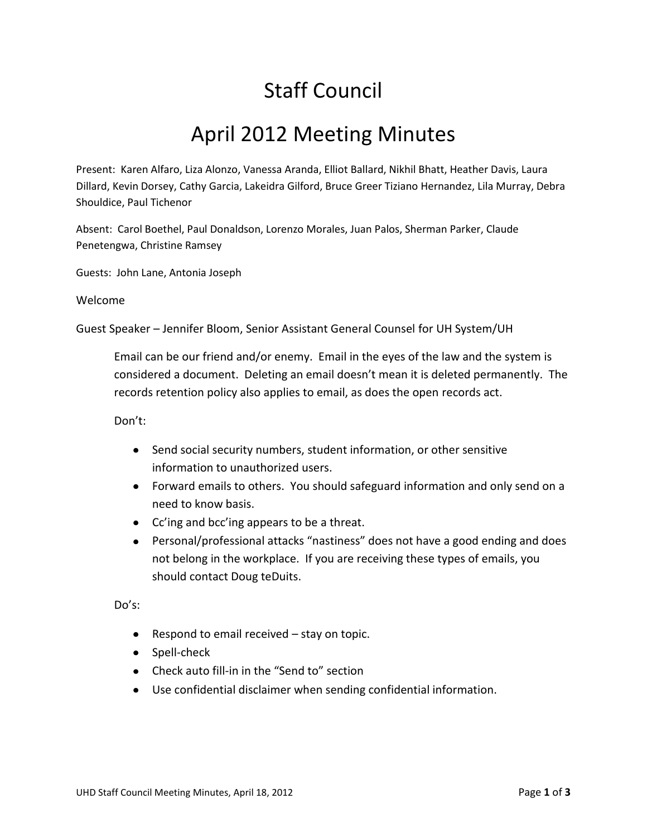## Staff Council

## April 2012 Meeting Minutes

Present: Karen Alfaro, Liza Alonzo, Vanessa Aranda, Elliot Ballard, Nikhil Bhatt, Heather Davis, Laura Dillard, Kevin Dorsey, Cathy Garcia, Lakeidra Gilford, Bruce Greer Tiziano Hernandez, Lila Murray, Debra Shouldice, Paul Tichenor

Absent: Carol Boethel, Paul Donaldson, Lorenzo Morales, Juan Palos, Sherman Parker, Claude Penetengwa, Christine Ramsey

Guests: John Lane, Antonia Joseph

## Welcome

Guest Speaker – Jennifer Bloom, Senior Assistant General Counsel for UH System/UH

Email can be our friend and/or enemy. Email in the eyes of the law and the system is considered a document. Deleting an email doesn't mean it is deleted permanently. The records retention policy also applies to email, as does the open records act.

Don't:

- Send social security numbers, student information, or other sensitive information to unauthorized users.
- Forward emails to others. You should safeguard information and only send on a need to know basis.
- Cc'ing and bcc'ing appears to be a threat.
- Personal/professional attacks "nastiness" does not have a good ending and does not belong in the workplace. If you are receiving these types of emails, you should contact Doug teDuits.

Do's:

- Respond to email received stay on topic.
- Spell-check
- Check auto fill-in in the "Send to" section
- Use confidential disclaimer when sending confidential information.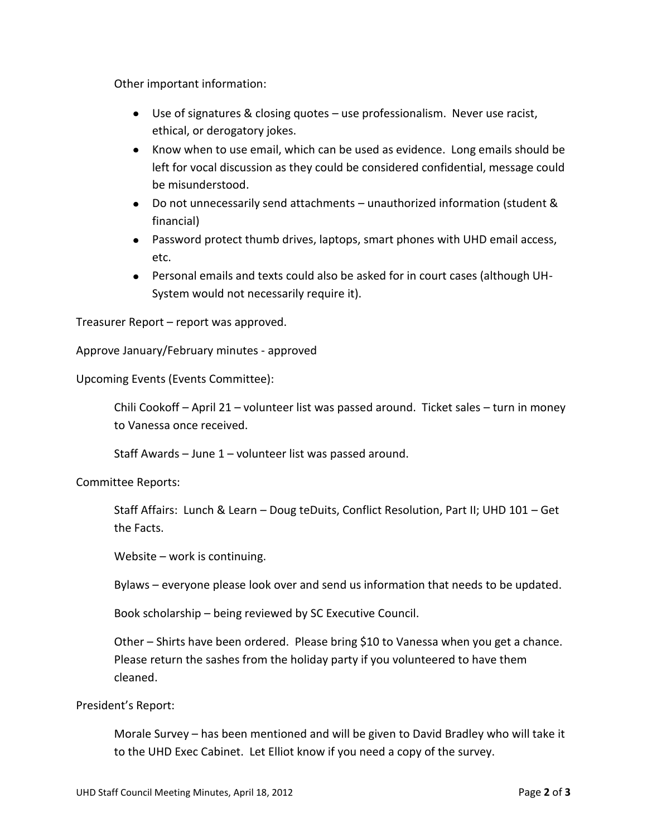Other important information:

- Use of signatures & closing quotes use professionalism. Never use racist, ethical, or derogatory jokes.
- Know when to use email, which can be used as evidence. Long emails should be left for vocal discussion as they could be considered confidential, message could be misunderstood.
- Do not unnecessarily send attachments unauthorized information (student & financial)
- Password protect thumb drives, laptops, smart phones with UHD email access, etc.
- Personal emails and texts could also be asked for in court cases (although UH-System would not necessarily require it).

Treasurer Report – report was approved.

Approve January/February minutes - approved

Upcoming Events (Events Committee):

Chili Cookoff – April 21 – volunteer list was passed around. Ticket sales – turn in money to Vanessa once received.

Staff Awards – June 1 – volunteer list was passed around.

Committee Reports:

Staff Affairs: Lunch & Learn – Doug teDuits, Conflict Resolution, Part II; UHD 101 – Get the Facts.

Website – work is continuing.

Bylaws – everyone please look over and send us information that needs to be updated.

Book scholarship – being reviewed by SC Executive Council.

Other – Shirts have been ordered. Please bring \$10 to Vanessa when you get a chance. Please return the sashes from the holiday party if you volunteered to have them cleaned.

## President's Report:

Morale Survey – has been mentioned and will be given to David Bradley who will take it to the UHD Exec Cabinet. Let Elliot know if you need a copy of the survey.